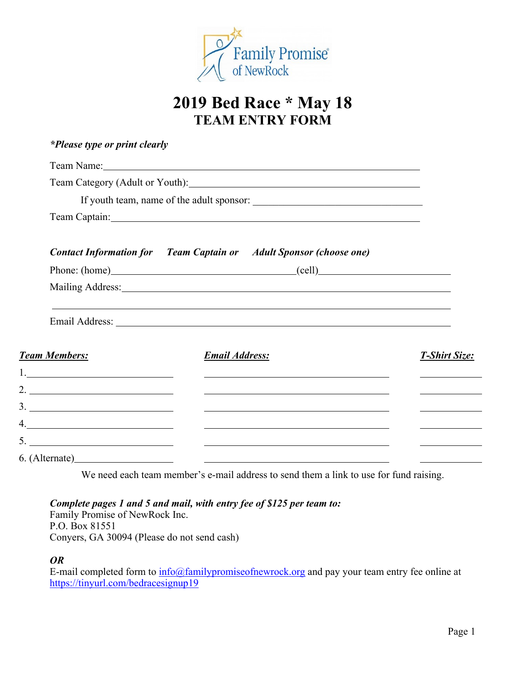

# **2019 Bed Race \* May 18 TEAM ENTRY FORM**

| *Please type or print clearly                                                                                      |                                                                                                                                                                                                                                |  |
|--------------------------------------------------------------------------------------------------------------------|--------------------------------------------------------------------------------------------------------------------------------------------------------------------------------------------------------------------------------|--|
|                                                                                                                    | Team Name: 1988 and 2008 and 2008 and 2008 and 2008 and 2008 and 2008 and 2008 and 2008 and 2008 and 2008 and 2008 and 2008 and 2008 and 2008 and 2008 and 2008 and 2008 and 2008 and 2008 and 2008 and 2008 and 2008 and 2008 |  |
|                                                                                                                    | Team Category (Adult or Youth): Notice and South Assembly Category (Adult or Youth):                                                                                                                                           |  |
|                                                                                                                    |                                                                                                                                                                                                                                |  |
|                                                                                                                    |                                                                                                                                                                                                                                |  |
|                                                                                                                    | <b>Contact Information for</b> Team Captain or Adult Sponsor (choose one)                                                                                                                                                      |  |
|                                                                                                                    | Phone: (home) (cell)                                                                                                                                                                                                           |  |
|                                                                                                                    |                                                                                                                                                                                                                                |  |
|                                                                                                                    |                                                                                                                                                                                                                                |  |
| <b>Team Members:</b>                                                                                               | <b>Email Address:</b>                                                                                                                                                                                                          |  |
| $\begin{tabular}{ c c c c } \hline \quad \quad & \quad \quad & \quad \quad & \quad \quad \\ \hline \end{tabular}.$ |                                                                                                                                                                                                                                |  |
| 2.                                                                                                                 |                                                                                                                                                                                                                                |  |
|                                                                                                                    |                                                                                                                                                                                                                                |  |
| 4.                                                                                                                 | <u> 1999 - Johann Harry Harry Harry Harry Harry Harry Harry Harry Harry Harry Harry Harry Harry Harry Harry Harry</u>                                                                                                          |  |
|                                                                                                                    | <u> 1990 - Johann Stoff, deutscher Stoffen und der Stoffen und der Stoffen und der Stoffen und der Stoffen und der</u>                                                                                                         |  |
| 6. (Alternate)                                                                                                     |                                                                                                                                                                                                                                |  |

We need each team member's e-mail address to send them a link to use for fund raising.

*Complete pages 1 and 5 and mail, with entry fee of \$125 per team to:* Family Promise of NewRock Inc. P.O. Box 81551 Conyers, GA 30094 (Please do not send cash)

### *OR*

E-mail completed form to info@familypromiseofnewrock.org and pay your team entry fee online at https://tinyurl.com/bedracesignup19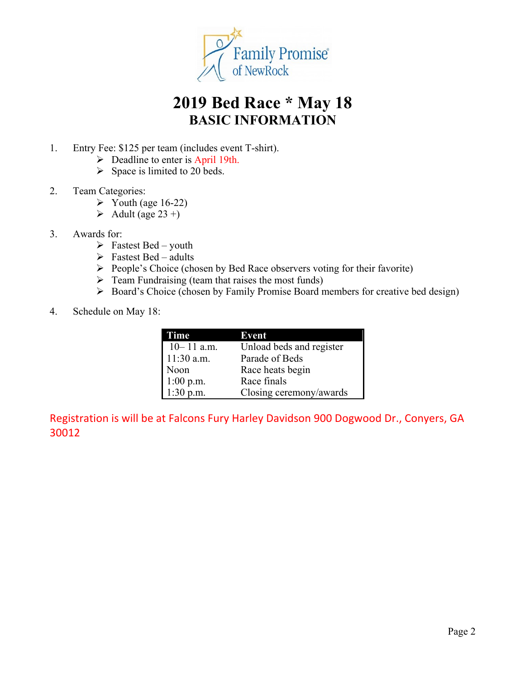

# **2019 Bed Race \* May 18 BASIC INFORMATION**

- 1. Entry Fee: \$125 per team (includes event T-shirt).
	- $\triangleright$  Deadline to enter is April 19th.
	- $\triangleright$  Space is limited to 20 beds.
- 2. Team Categories:
	- $\triangleright$  Youth (age 16-22)
	- $\blacktriangleright$  Adult (age 23+)
- 3. Awards for:
	- $\triangleright$  Fastest Bed youth
	- $\triangleright$  Fastest Bed adults
	- $\triangleright$  People's Choice (chosen by Bed Race observers voting for their favorite)
	- $\triangleright$  Team Fundraising (team that raises the most funds)
	- Ø Board's Choice (chosen by Family Promise Board members for creative bed design)
- 4. Schedule on May 18:

| Time           | Event                    |
|----------------|--------------------------|
| $10 - 11$ a.m. | Unload beds and register |
| $11:30$ a.m.   | Parade of Beds           |
| Noon           | Race heats begin         |
| $1:00$ p.m.    | Race finals              |
| $1:30$ p.m.    | Closing ceremony/awards  |

Registration is will be at Falcons Fury Harley Davidson 900 Dogwood Dr., Conyers, GA 30012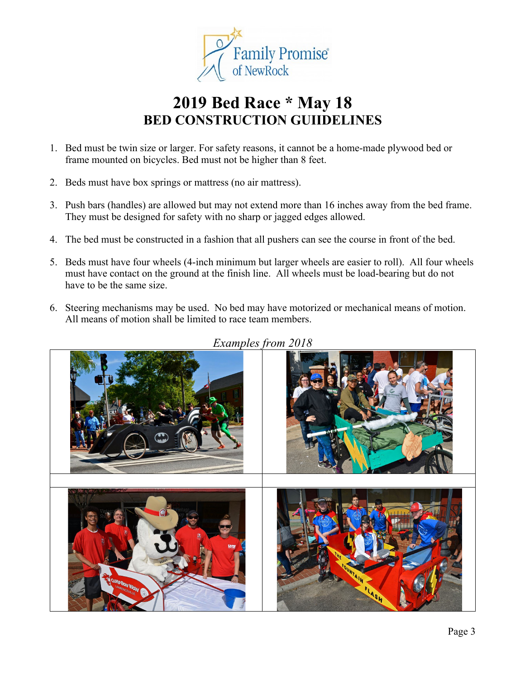

# **2019 Bed Race \* May 18 BED CONSTRUCTION GUIIDELINES**

- 1. Bed must be twin size or larger. For safety reasons, it cannot be a home-made plywood bed or frame mounted on bicycles. Bed must not be higher than 8 feet.
- 2. Beds must have box springs or mattress (no air mattress).
- 3. Push bars (handles) are allowed but may not extend more than 16 inches away from the bed frame. They must be designed for safety with no sharp or jagged edges allowed.
- 4. The bed must be constructed in a fashion that all pushers can see the course in front of the bed.
- 5. Beds must have four wheels (4-inch minimum but larger wheels are easier to roll). All four wheels must have contact on the ground at the finish line. All wheels must be load-bearing but do not have to be the same size.
- 6. Steering mechanisms may be used. No bed may have motorized or mechanical means of motion. All means of motion shall be limited to race team members.



*Examples from 2018*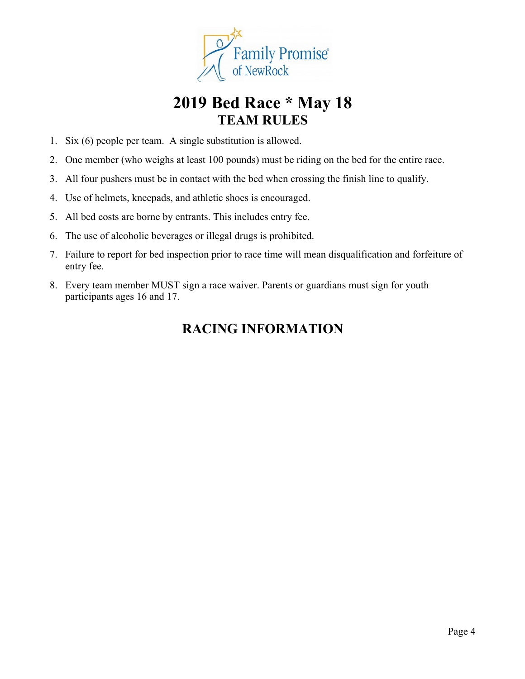

# **2019 Bed Race \* May 18 TEAM RULES**

- 1. Six (6) people per team. A single substitution is allowed.
- 2. One member (who weighs at least 100 pounds) must be riding on the bed for the entire race.
- 3. All four pushers must be in contact with the bed when crossing the finish line to qualify.
- 4. Use of helmets, kneepads, and athletic shoes is encouraged.
- 5. All bed costs are borne by entrants. This includes entry fee.
- 6. The use of alcoholic beverages or illegal drugs is prohibited.
- 7. Failure to report for bed inspection prior to race time will mean disqualification and forfeiture of entry fee.
- 8. Every team member MUST sign a race waiver. Parents or guardians must sign for youth participants ages 16 and 17.

## **RACING INFORMATION**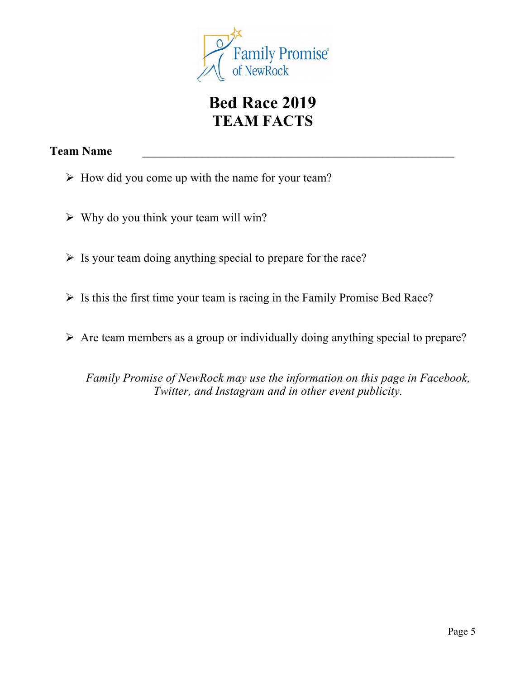

# **Bed Race 2019 TEAM FACTS**

### **Team Name** \_\_\_\_\_\_\_\_\_\_\_\_\_\_\_\_\_\_\_\_\_\_\_\_\_\_\_\_\_\_\_\_\_\_\_\_\_\_\_\_\_\_\_\_\_\_\_\_\_\_\_\_

- $\triangleright$  How did you come up with the name for your team?
- $\triangleright$  Why do you think your team will win?
- $\triangleright$  Is your team doing anything special to prepare for the race?
- $\triangleright$  Is this the first time your team is racing in the Family Promise Bed Race?
- $\triangleright$  Are team members as a group or individually doing anything special to prepare?

*Family Promise of NewRock may use the information on this page in Facebook, Twitter, and Instagram and in other event publicity.*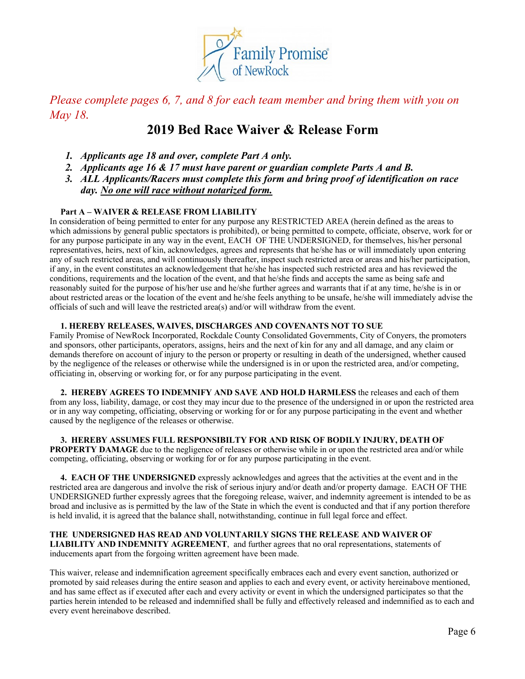

*Please complete pages 6, 7, and 8 for each team member and bring them with you on May 18.*

## **2019 Bed Race Waiver & Release Form**

- *1. Applicants age 18 and over, complete Part A only.*
- *2. Applicants age 16 & 17 must have parent or guardian complete Parts A and B.*
- *3. ALL Applicants/Racers must complete this form and bring proof of identification on race day. No one will race without notarized form.*

### **Part A – WAIVER & RELEASE FROM LIABILITY**

In consideration of being permitted to enter for any purpose any RESTRICTED AREA (herein defined as the areas to which admissions by general public spectators is prohibited), or being permitted to compete, officiate, observe, work for or for any purpose participate in any way in the event, EACH OF THE UNDERSIGNED, for themselves, his/her personal representatives, heirs, next of kin, acknowledges, agrees and represents that he/she has or will immediately upon entering any of such restricted areas, and will continuously thereafter, inspect such restricted area or areas and his/her participation, if any, in the event constitutes an acknowledgement that he/she has inspected such restricted area and has reviewed the conditions, requirements and the location of the event, and that he/she finds and accepts the same as being safe and reasonably suited for the purpose of his/her use and he/she further agrees and warrants that if at any time, he/she is in or about restricted areas or the location of the event and he/she feels anything to be unsafe, he/she will immediately advise the officials of such and will leave the restricted area(s) and/or will withdraw from the event.

### **1. HEREBY RELEASES, WAIVES, DISCHARGES AND COVENANTS NOT TO SUE**

Family Promise of NewRock Incorporated, Rockdale County Consolidated Governments, City of Conyers, the promoters and sponsors, other participants, operators, assigns, heirs and the next of kin for any and all damage, and any claim or demands therefore on account of injury to the person or property or resulting in death of the undersigned, whether caused by the negligence of the releases or otherwise while the undersigned is in or upon the restricted area, and/or competing, officiating in, observing or working for, or for any purpose participating in the event.

 **2. HEREBY AGREES TO INDEMNIFY AND SAVE AND HOLD HARMLESS** the releases and each of them from any loss, liability, damage, or cost they may incur due to the presence of the undersigned in or upon the restricted area or in any way competing, officiating, observing or working for or for any purpose participating in the event and whether caused by the negligence of the releases or otherwise.

 **3. HEREBY ASSUMES FULL RESPONSIBILTY FOR AND RISK OF BODILY INJURY, DEATH OF PROPERTY DAMAGE** due to the negligence of releases or otherwise while in or upon the restricted area and/or while competing, officiating, observing or working for or for any purpose participating in the event.

 **4. EACH OF THE UNDERSIGNED** expressly acknowledges and agrees that the activities at the event and in the restricted area are dangerous and involve the risk of serious injury and/or death and/or property damage. EACH OF THE UNDERSIGNED further expressly agrees that the foregoing release, waiver, and indemnity agreement is intended to be as broad and inclusive as is permitted by the law of the State in which the event is conducted and that if any portion therefore is held invalid, it is agreed that the balance shall, notwithstanding, continue in full legal force and effect.

#### **THE UNDERSIGNED HAS READ AND VOLUNTARILY SIGNS THE RELEASE AND WAIVER OF LIABILITY AND INDEMNITY AGREEMENT**, and further agrees that no oral representations, statements of inducements apart from the forgoing written agreement have been made.

This waiver, release and indemnification agreement specifically embraces each and every event sanction, authorized or promoted by said releases during the entire season and applies to each and every event, or activity hereinabove mentioned, and has same effect as if executed after each and every activity or event in which the undersigned participates so that the parties herein intended to be released and indemnified shall be fully and effectively released and indemnified as to each and every event hereinabove described.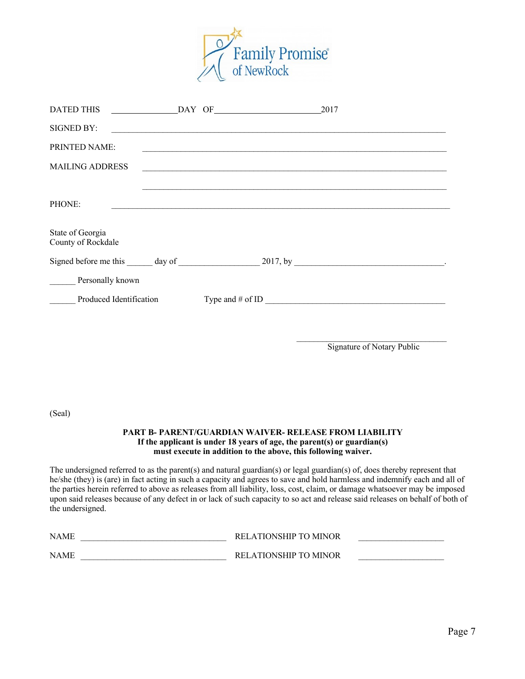

| <b>DATED THIS</b>                      |  |  | DAY OF 2017                                     |                                                            |
|----------------------------------------|--|--|-------------------------------------------------|------------------------------------------------------------|
| <b>SIGNED BY:</b>                      |  |  |                                                 |                                                            |
| PRINTED NAME:                          |  |  |                                                 | <u> 1989 - Johann Stoff, amerikansk politiker (* 1908)</u> |
| <b>MAILING ADDRESS</b>                 |  |  |                                                 |                                                            |
| PHONE:                                 |  |  | <u> 1980 - Jan James James Santan (j. 1980)</u> |                                                            |
| State of Georgia<br>County of Rockdale |  |  |                                                 |                                                            |
|                                        |  |  |                                                 |                                                            |
| Personally known                       |  |  |                                                 |                                                            |
| Produced Identification                |  |  |                                                 |                                                            |
|                                        |  |  |                                                 |                                                            |
|                                        |  |  |                                                 | Signature of Notary Public                                 |
|                                        |  |  |                                                 |                                                            |

(Seal)

### **PART B- PARENT/GUARDIAN WAIVER- RELEASE FROM LIABILITY If the applicant is under 18 years of age, the parent(s) or guardian(s) must execute in addition to the above, this following waiver.**

The undersigned referred to as the parent(s) and natural guardian(s) or legal guardian(s) of, does thereby represent that he/she (they) is (are) in fact acting in such a capacity and agrees to save and hold harmless and indemnify each and all of the parties herein referred to above as releases from all liability, loss, cost, claim, or damage whatsoever may be imposed upon said releases because of any defect in or lack of such capacity to so act and release said releases on behalf of both of the undersigned.

| <b>NAME</b> | RELATIONSHIP TO MINOR |  |
|-------------|-----------------------|--|
| <b>NAME</b> | RELATIONSHIP TO MINOR |  |